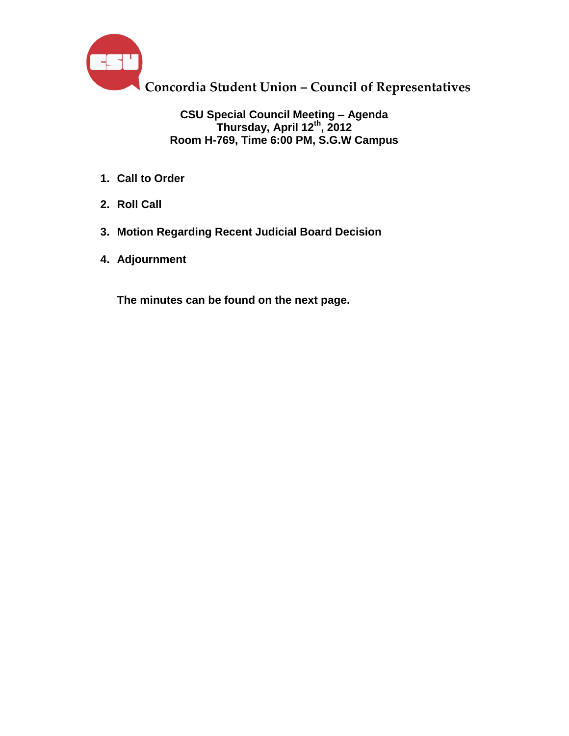

### **CSU Special Council Meeting – Agenda Thursday, April 12 th , 2012 Room H-769, Time 6:00 PM, S.G.W Campus**

- **1. Call to Order**
- **2. Roll Call**
- **3. Motion Regarding Recent Judicial Board Decision**
- **4. Adjournment**

**The minutes can be found on the next page.**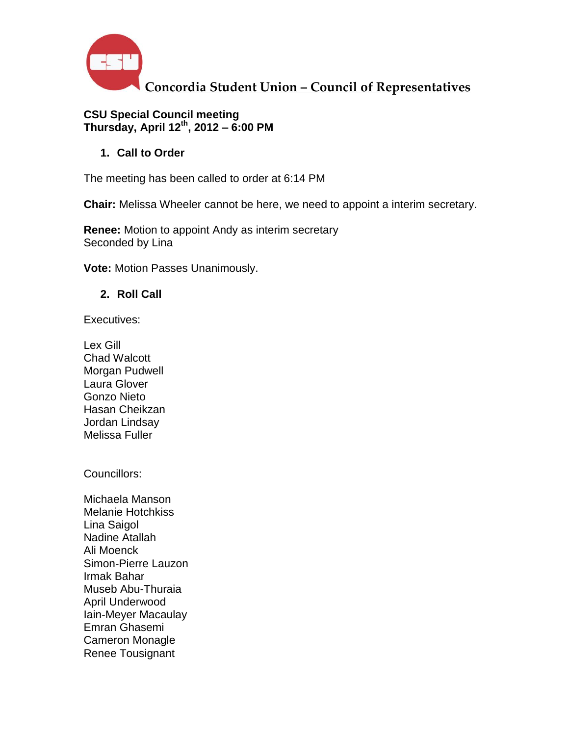

### **CSU Special Council meeting Thursday, April 12th , 2012 – 6:00 PM**

**1. Call to Order**

The meeting has been called to order at 6:14 PM

**Chair:** Melissa Wheeler cannot be here, we need to appoint a interim secretary.

**Renee:** Motion to appoint Andy as interim secretary Seconded by Lina

**Vote:** Motion Passes Unanimously.

**2. Roll Call**

Executives:

Lex Gill Chad Walcott Morgan Pudwell Laura Glover Gonzo Nieto Hasan Cheikzan Jordan Lindsay Melissa Fuller

Councillors:

Michaela Manson Melanie Hotchkiss Lina Saigol Nadine Atallah Ali Moenck Simon-Pierre Lauzon Irmak Bahar Museb Abu-Thuraia April Underwood Iain-Meyer Macaulay Emran Ghasemi Cameron Monagle Renee Tousignant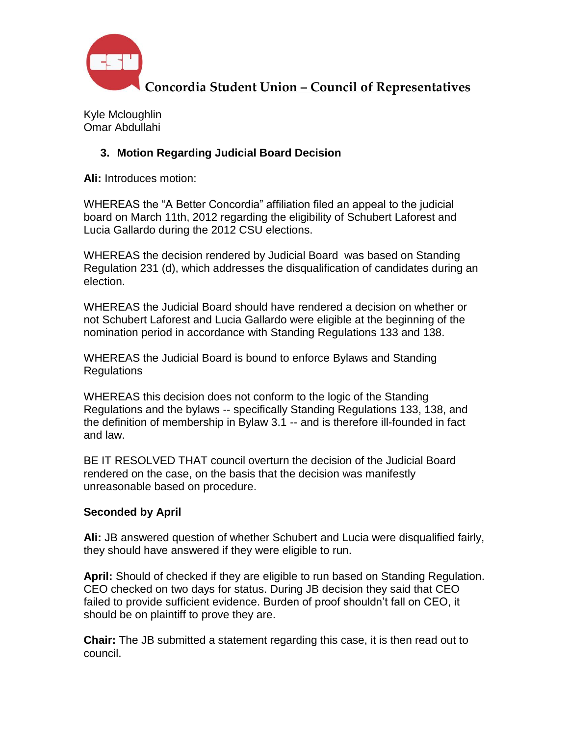

Kyle Mcloughlin Omar Abdullahi

### **3. Motion Regarding Judicial Board Decision**

**Ali:** Introduces motion:

WHEREAS the "A Better Concordia" affiliation filed an appeal to the judicial board on March 11th, 2012 regarding the eligibility of Schubert Laforest and Lucia Gallardo during the 2012 CSU elections.

WHEREAS the decision rendered by Judicial Board was based on Standing Regulation 231 (d), which addresses the disqualification of candidates during an election.

WHEREAS the Judicial Board should have rendered a decision on whether or not Schubert Laforest and Lucia Gallardo were eligible at the beginning of the nomination period in accordance with Standing Regulations 133 and 138.

WHEREAS the Judicial Board is bound to enforce Bylaws and Standing Regulations

WHEREAS this decision does not conform to the logic of the Standing Regulations and the bylaws -- specifically Standing Regulations 133, 138, and the definition of membership in Bylaw 3.1 -- and is therefore ill-founded in fact and law.

BE IT RESOLVED THAT council overturn the decision of the Judicial Board rendered on the case, on the basis that the decision was manifestly unreasonable based on procedure.

### **Seconded by April**

**Ali:** JB answered question of whether Schubert and Lucia were disqualified fairly, they should have answered if they were eligible to run.

**April:** Should of checked if they are eligible to run based on Standing Regulation. CEO checked on two days for status. During JB decision they said that CEO failed to provide sufficient evidence. Burden of proof shouldn't fall on CEO, it should be on plaintiff to prove they are.

**Chair:** The JB submitted a statement regarding this case, it is then read out to council.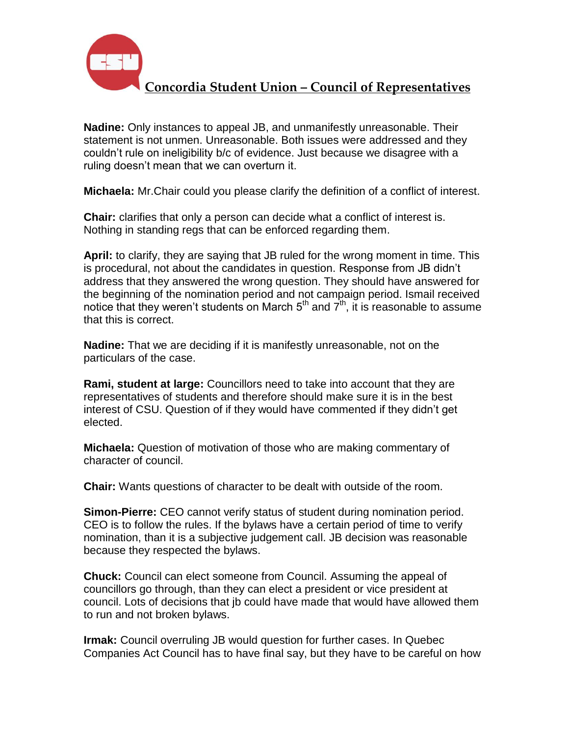

**Nadine:** Only instances to appeal JB, and unmanifestly unreasonable. Their statement is not unmen. Unreasonable. Both issues were addressed and they couldn't rule on ineligibility b/c of evidence. Just because we disagree with a ruling doesn't mean that we can overturn it.

**Michaela:** Mr.Chair could you please clarify the definition of a conflict of interest.

**Chair:** clarifies that only a person can decide what a conflict of interest is. Nothing in standing regs that can be enforced regarding them.

**April:** to clarify, they are saying that JB ruled for the wrong moment in time. This is procedural, not about the candidates in question. Response from JB didn't address that they answered the wrong question. They should have answered for the beginning of the nomination period and not campaign period. Ismail received notice that they weren't students on March  $5<sup>th</sup>$  and  $7<sup>th</sup>$ , it is reasonable to assume that this is correct.

**Nadine:** That we are deciding if it is manifestly unreasonable, not on the particulars of the case.

**Rami, student at large:** Councillors need to take into account that they are representatives of students and therefore should make sure it is in the best interest of CSU. Question of if they would have commented if they didn't get elected.

**Michaela:** Question of motivation of those who are making commentary of character of council.

**Chair:** Wants questions of character to be dealt with outside of the room.

**Simon-Pierre:** CEO cannot verify status of student during nomination period. CEO is to follow the rules. If the bylaws have a certain period of time to verify nomination, than it is a subjective judgement call. JB decision was reasonable because they respected the bylaws.

**Chuck:** Council can elect someone from Council. Assuming the appeal of councillors go through, than they can elect a president or vice president at council. Lots of decisions that jb could have made that would have allowed them to run and not broken bylaws.

**Irmak:** Council overruling JB would question for further cases. In Quebec Companies Act Council has to have final say, but they have to be careful on how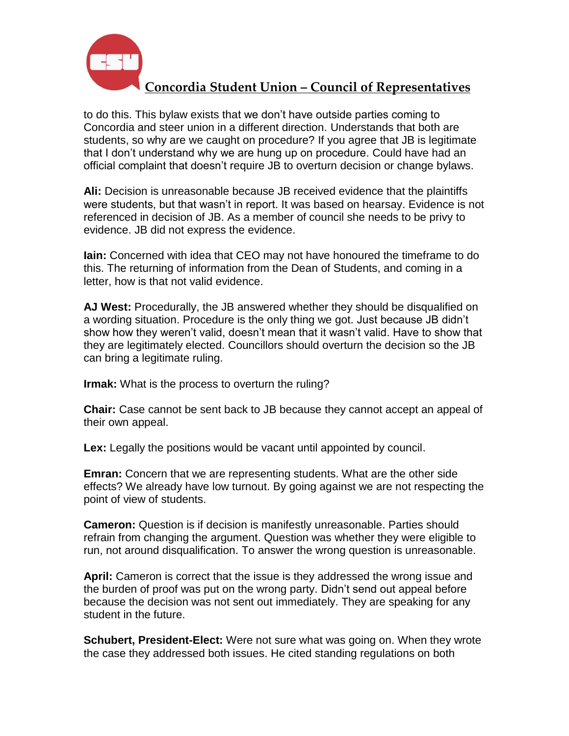

to do this. This bylaw exists that we don't have outside parties coming to Concordia and steer union in a different direction. Understands that both are students, so why are we caught on procedure? If you agree that JB is legitimate that I don't understand why we are hung up on procedure. Could have had an official complaint that doesn't require JB to overturn decision or change bylaws.

**Ali:** Decision is unreasonable because JB received evidence that the plaintiffs were students, but that wasn't in report. It was based on hearsay. Evidence is not referenced in decision of JB. As a member of council she needs to be privy to evidence. JB did not express the evidence.

**Iain:** Concerned with idea that CEO may not have honoured the timeframe to do this. The returning of information from the Dean of Students, and coming in a letter, how is that not valid evidence.

**AJ West:** Procedurally, the JB answered whether they should be disqualified on a wording situation. Procedure is the only thing we got. Just because JB didn't show how they weren't valid, doesn't mean that it wasn't valid. Have to show that they are legitimately elected. Councillors should overturn the decision so the JB can bring a legitimate ruling.

**Irmak:** What is the process to overturn the ruling?

**Chair:** Case cannot be sent back to JB because they cannot accept an appeal of their own appeal.

**Lex:** Legally the positions would be vacant until appointed by council.

**Emran:** Concern that we are representing students. What are the other side effects? We already have low turnout. By going against we are not respecting the point of view of students.

**Cameron:** Question is if decision is manifestly unreasonable. Parties should refrain from changing the argument. Question was whether they were eligible to run, not around disqualification. To answer the wrong question is unreasonable.

**April:** Cameron is correct that the issue is they addressed the wrong issue and the burden of proof was put on the wrong party. Didn't send out appeal before because the decision was not sent out immediately. They are speaking for any student in the future.

**Schubert, President-Elect:** Were not sure what was going on. When they wrote the case they addressed both issues. He cited standing regulations on both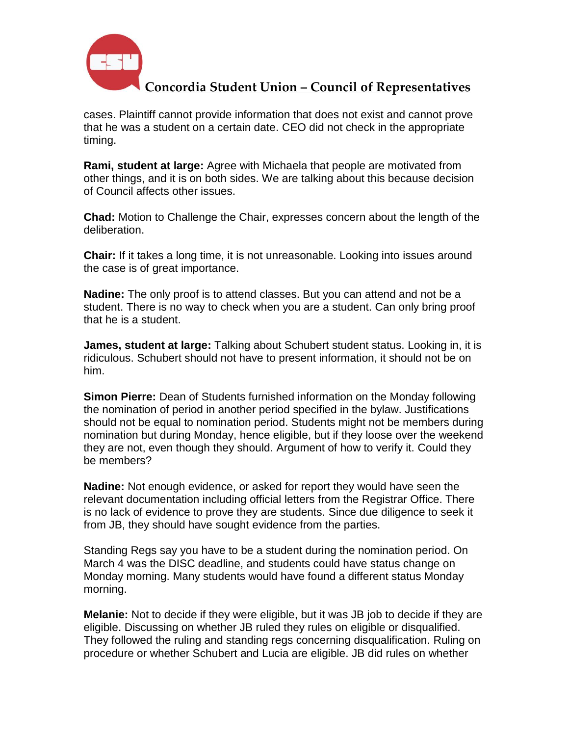

cases. Plaintiff cannot provide information that does not exist and cannot prove that he was a student on a certain date. CEO did not check in the appropriate timing.

**Rami, student at large:** Agree with Michaela that people are motivated from other things, and it is on both sides. We are talking about this because decision of Council affects other issues.

**Chad:** Motion to Challenge the Chair, expresses concern about the length of the deliberation.

**Chair:** If it takes a long time, it is not unreasonable. Looking into issues around the case is of great importance.

**Nadine:** The only proof is to attend classes. But you can attend and not be a student. There is no way to check when you are a student. Can only bring proof that he is a student.

**James, student at large:** Talking about Schubert student status. Looking in, it is ridiculous. Schubert should not have to present information, it should not be on him.

**Simon Pierre:** Dean of Students furnished information on the Monday following the nomination of period in another period specified in the bylaw. Justifications should not be equal to nomination period. Students might not be members during nomination but during Monday, hence eligible, but if they loose over the weekend they are not, even though they should. Argument of how to verify it. Could they be members?

**Nadine:** Not enough evidence, or asked for report they would have seen the relevant documentation including official letters from the Registrar Office. There is no lack of evidence to prove they are students. Since due diligence to seek it from JB, they should have sought evidence from the parties.

Standing Regs say you have to be a student during the nomination period. On March 4 was the DISC deadline, and students could have status change on Monday morning. Many students would have found a different status Monday morning.

**Melanie:** Not to decide if they were eligible, but it was JB job to decide if they are eligible. Discussing on whether JB ruled they rules on eligible or disqualified. They followed the ruling and standing regs concerning disqualification. Ruling on procedure or whether Schubert and Lucia are eligible. JB did rules on whether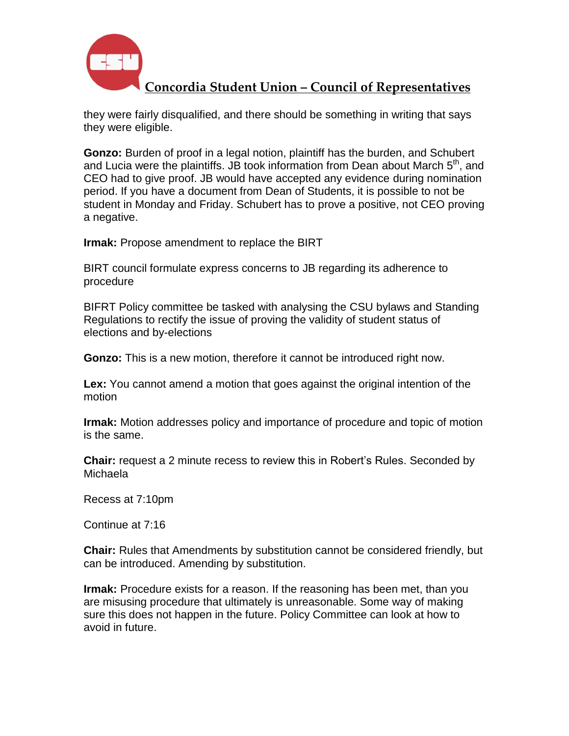

they were fairly disqualified, and there should be something in writing that says they were eligible.

**Gonzo:** Burden of proof in a legal notion, plaintiff has the burden, and Schubert and Lucia were the plaintiffs. JB took information from Dean about March  $5<sup>th</sup>$ , and CEO had to give proof. JB would have accepted any evidence during nomination period. If you have a document from Dean of Students, it is possible to not be student in Monday and Friday. Schubert has to prove a positive, not CEO proving a negative.

**Irmak:** Propose amendment to replace the BIRT

BIRT council formulate express concerns to JB regarding its adherence to procedure

BIFRT Policy committee be tasked with analysing the CSU bylaws and Standing Regulations to rectify the issue of proving the validity of student status of elections and by-elections

**Gonzo:** This is a new motion, therefore it cannot be introduced right now.

**Lex:** You cannot amend a motion that goes against the original intention of the motion

**Irmak:** Motion addresses policy and importance of procedure and topic of motion is the same.

**Chair:** request a 2 minute recess to review this in Robert's Rules. Seconded by Michaela

Recess at 7:10pm

Continue at 7:16

**Chair:** Rules that Amendments by substitution cannot be considered friendly, but can be introduced. Amending by substitution.

**Irmak:** Procedure exists for a reason. If the reasoning has been met, than you are misusing procedure that ultimately is unreasonable. Some way of making sure this does not happen in the future. Policy Committee can look at how to avoid in future.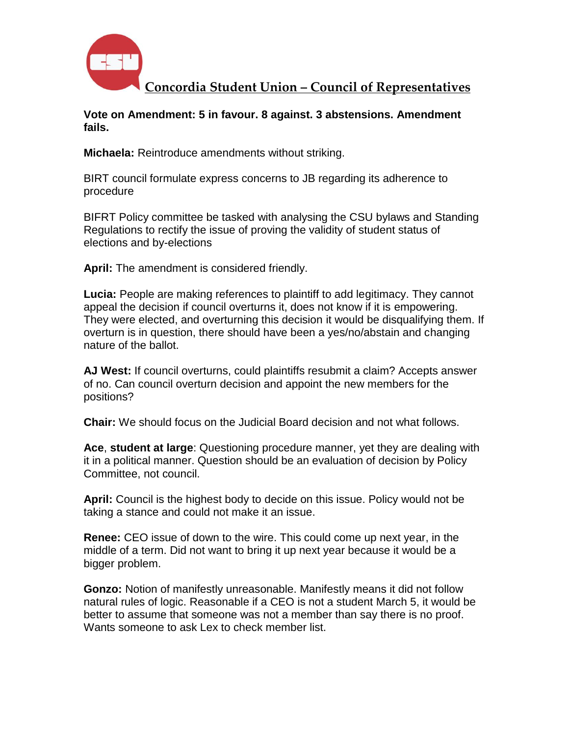

**Vote on Amendment: 5 in favour. 8 against. 3 abstensions. Amendment fails.**

**Michaela:** Reintroduce amendments without striking.

BIRT council formulate express concerns to JB regarding its adherence to procedure

BIFRT Policy committee be tasked with analysing the CSU bylaws and Standing Regulations to rectify the issue of proving the validity of student status of elections and by-elections

**April:** The amendment is considered friendly.

**Lucia:** People are making references to plaintiff to add legitimacy. They cannot appeal the decision if council overturns it, does not know if it is empowering. They were elected, and overturning this decision it would be disqualifying them. If overturn is in question, there should have been a yes/no/abstain and changing nature of the ballot.

**AJ West:** If council overturns, could plaintiffs resubmit a claim? Accepts answer of no. Can council overturn decision and appoint the new members for the positions?

**Chair:** We should focus on the Judicial Board decision and not what follows.

**Ace**, **student at large**: Questioning procedure manner, yet they are dealing with it in a political manner. Question should be an evaluation of decision by Policy Committee, not council.

**April:** Council is the highest body to decide on this issue. Policy would not be taking a stance and could not make it an issue.

**Renee:** CEO issue of down to the wire. This could come up next year, in the middle of a term. Did not want to bring it up next year because it would be a bigger problem.

**Gonzo:** Notion of manifestly unreasonable. Manifestly means it did not follow natural rules of logic. Reasonable if a CEO is not a student March 5, it would be better to assume that someone was not a member than say there is no proof. Wants someone to ask Lex to check member list.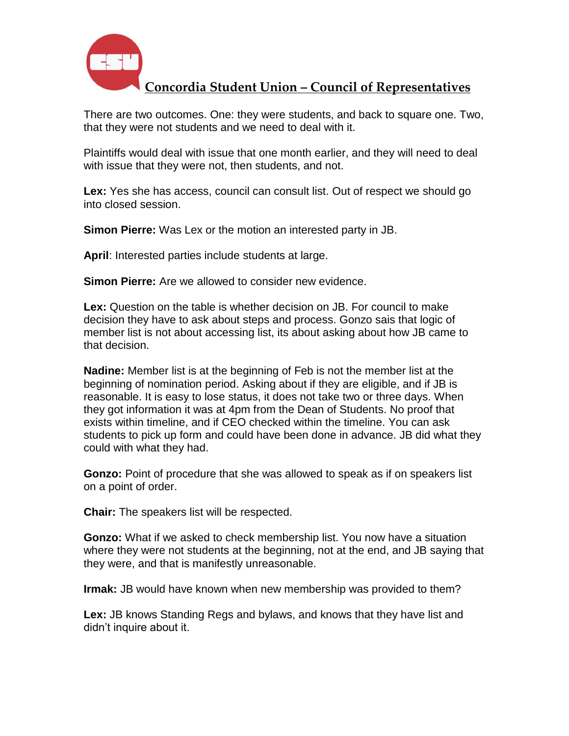

There are two outcomes. One: they were students, and back to square one. Two, that they were not students and we need to deal with it.

Plaintiffs would deal with issue that one month earlier, and they will need to deal with issue that they were not, then students, and not.

**Lex:** Yes she has access, council can consult list. Out of respect we should go into closed session.

**Simon Pierre:** Was Lex or the motion an interested party in JB.

**April**: Interested parties include students at large.

**Simon Pierre:** Are we allowed to consider new evidence.

**Lex:** Question on the table is whether decision on JB. For council to make decision they have to ask about steps and process. Gonzo sais that logic of member list is not about accessing list, its about asking about how JB came to that decision.

**Nadine:** Member list is at the beginning of Feb is not the member list at the beginning of nomination period. Asking about if they are eligible, and if JB is reasonable. It is easy to lose status, it does not take two or three days. When they got information it was at 4pm from the Dean of Students. No proof that exists within timeline, and if CEO checked within the timeline. You can ask students to pick up form and could have been done in advance. JB did what they could with what they had.

**Gonzo:** Point of procedure that she was allowed to speak as if on speakers list on a point of order.

**Chair:** The speakers list will be respected.

**Gonzo:** What if we asked to check membership list. You now have a situation where they were not students at the beginning, not at the end, and JB saying that they were, and that is manifestly unreasonable.

**Irmak:** JB would have known when new membership was provided to them?

**Lex:** JB knows Standing Regs and bylaws, and knows that they have list and didn't inquire about it.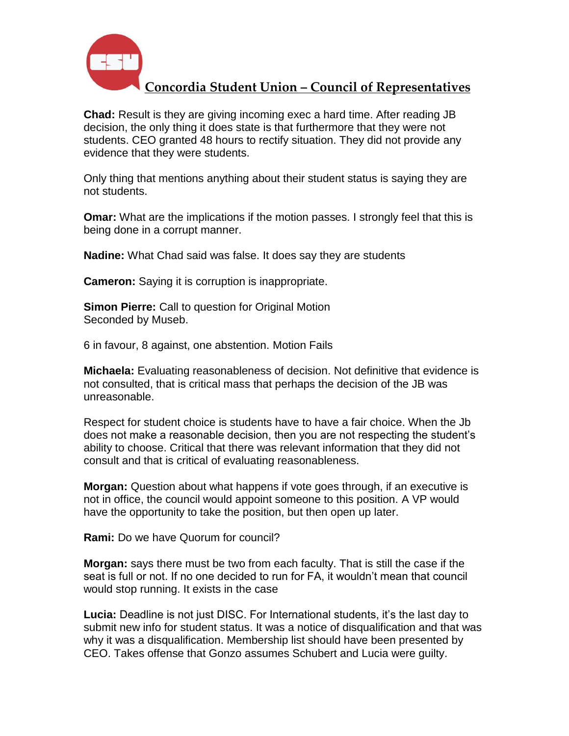

**Chad:** Result is they are giving incoming exec a hard time. After reading JB decision, the only thing it does state is that furthermore that they were not students. CEO granted 48 hours to rectify situation. They did not provide any evidence that they were students.

Only thing that mentions anything about their student status is saying they are not students.

**Omar:** What are the implications if the motion passes. I strongly feel that this is being done in a corrupt manner.

**Nadine:** What Chad said was false. It does say they are students

**Cameron:** Saying it is corruption is inappropriate.

**Simon Pierre:** Call to question for Original Motion Seconded by Museb.

6 in favour, 8 against, one abstention. Motion Fails

**Michaela:** Evaluating reasonableness of decision. Not definitive that evidence is not consulted, that is critical mass that perhaps the decision of the JB was unreasonable.

Respect for student choice is students have to have a fair choice. When the Jb does not make a reasonable decision, then you are not respecting the student's ability to choose. Critical that there was relevant information that they did not consult and that is critical of evaluating reasonableness.

**Morgan:** Question about what happens if vote goes through, if an executive is not in office, the council would appoint someone to this position. A VP would have the opportunity to take the position, but then open up later.

**Rami:** Do we have Quorum for council?

**Morgan:** says there must be two from each faculty. That is still the case if the seat is full or not. If no one decided to run for FA, it wouldn't mean that council would stop running. It exists in the case

**Lucia:** Deadline is not just DISC. For International students, it's the last day to submit new info for student status. It was a notice of disqualification and that was why it was a disqualification. Membership list should have been presented by CEO. Takes offense that Gonzo assumes Schubert and Lucia were guilty.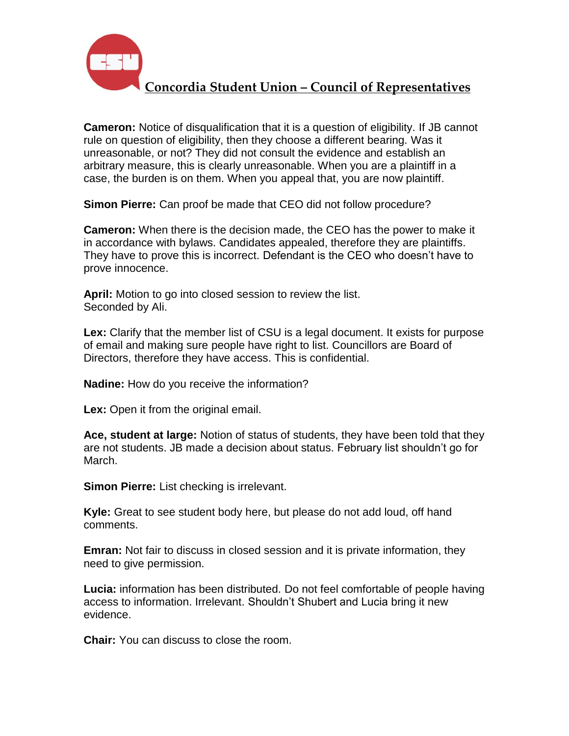

**Cameron:** Notice of disqualification that it is a question of eligibility. If JB cannot rule on question of eligibility, then they choose a different bearing. Was it unreasonable, or not? They did not consult the evidence and establish an arbitrary measure, this is clearly unreasonable. When you are a plaintiff in a case, the burden is on them. When you appeal that, you are now plaintiff.

**Simon Pierre:** Can proof be made that CEO did not follow procedure?

**Cameron:** When there is the decision made, the CEO has the power to make it in accordance with bylaws. Candidates appealed, therefore they are plaintiffs. They have to prove this is incorrect. Defendant is the CEO who doesn't have to prove innocence.

**April:** Motion to go into closed session to review the list. Seconded by Ali.

**Lex:** Clarify that the member list of CSU is a legal document. It exists for purpose of email and making sure people have right to list. Councillors are Board of Directors, therefore they have access. This is confidential.

**Nadine:** How do you receive the information?

**Lex:** Open it from the original email.

**Ace, student at large:** Notion of status of students, they have been told that they are not students. JB made a decision about status. February list shouldn't go for March.

**Simon Pierre:** List checking is irrelevant.

**Kyle:** Great to see student body here, but please do not add loud, off hand comments.

**Emran:** Not fair to discuss in closed session and it is private information, they need to give permission.

**Lucia:** information has been distributed. Do not feel comfortable of people having access to information. Irrelevant. Shouldn't Shubert and Lucia bring it new evidence.

**Chair:** You can discuss to close the room.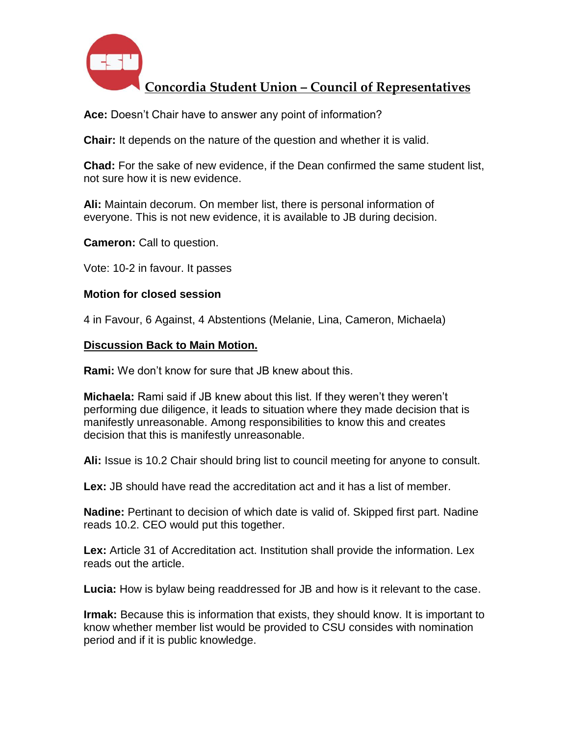

**Ace:** Doesn't Chair have to answer any point of information?

**Chair:** It depends on the nature of the question and whether it is valid.

**Chad:** For the sake of new evidence, if the Dean confirmed the same student list, not sure how it is new evidence.

**Ali:** Maintain decorum. On member list, there is personal information of everyone. This is not new evidence, it is available to JB during decision.

**Cameron:** Call to question.

Vote: 10-2 in favour. It passes

#### **Motion for closed session**

4 in Favour, 6 Against, 4 Abstentions (Melanie, Lina, Cameron, Michaela)

#### **Discussion Back to Main Motion.**

**Rami:** We don't know for sure that JB knew about this.

**Michaela:** Rami said if JB knew about this list. If they weren't they weren't performing due diligence, it leads to situation where they made decision that is manifestly unreasonable. Among responsibilities to know this and creates decision that this is manifestly unreasonable.

**Ali:** Issue is 10.2 Chair should bring list to council meeting for anyone to consult.

**Lex:** JB should have read the accreditation act and it has a list of member.

**Nadine:** Pertinant to decision of which date is valid of. Skipped first part. Nadine reads 10.2. CEO would put this together.

**Lex:** Article 31 of Accreditation act. Institution shall provide the information. Lex reads out the article.

**Lucia:** How is bylaw being readdressed for JB and how is it relevant to the case.

**Irmak:** Because this is information that exists, they should know. It is important to know whether member list would be provided to CSU consides with nomination period and if it is public knowledge.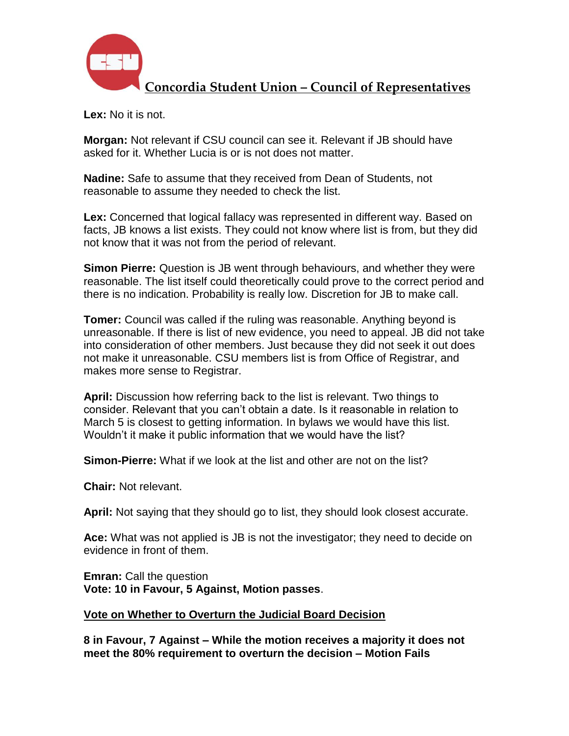

**Lex:** No it is not.

**Morgan:** Not relevant if CSU council can see it. Relevant if JB should have asked for it. Whether Lucia is or is not does not matter.

**Nadine:** Safe to assume that they received from Dean of Students, not reasonable to assume they needed to check the list.

**Lex:** Concerned that logical fallacy was represented in different way. Based on facts, JB knows a list exists. They could not know where list is from, but they did not know that it was not from the period of relevant.

**Simon Pierre:** Question is JB went through behaviours, and whether they were reasonable. The list itself could theoretically could prove to the correct period and there is no indication. Probability is really low. Discretion for JB to make call.

**Tomer:** Council was called if the ruling was reasonable. Anything beyond is unreasonable. If there is list of new evidence, you need to appeal. JB did not take into consideration of other members. Just because they did not seek it out does not make it unreasonable. CSU members list is from Office of Registrar, and makes more sense to Registrar.

**April:** Discussion how referring back to the list is relevant. Two things to consider. Relevant that you can't obtain a date. Is it reasonable in relation to March 5 is closest to getting information. In bylaws we would have this list. Wouldn't it make it public information that we would have the list?

**Simon-Pierre:** What if we look at the list and other are not on the list?

**Chair:** Not relevant.

**April:** Not saying that they should go to list, they should look closest accurate.

**Ace:** What was not applied is JB is not the investigator; they need to decide on evidence in front of them.

**Emran:** Call the question **Vote: 10 in Favour, 5 Against, Motion passes**.

#### **Vote on Whether to Overturn the Judicial Board Decision**

**8 in Favour, 7 Against – While the motion receives a majority it does not meet the 80% requirement to overturn the decision – Motion Fails**